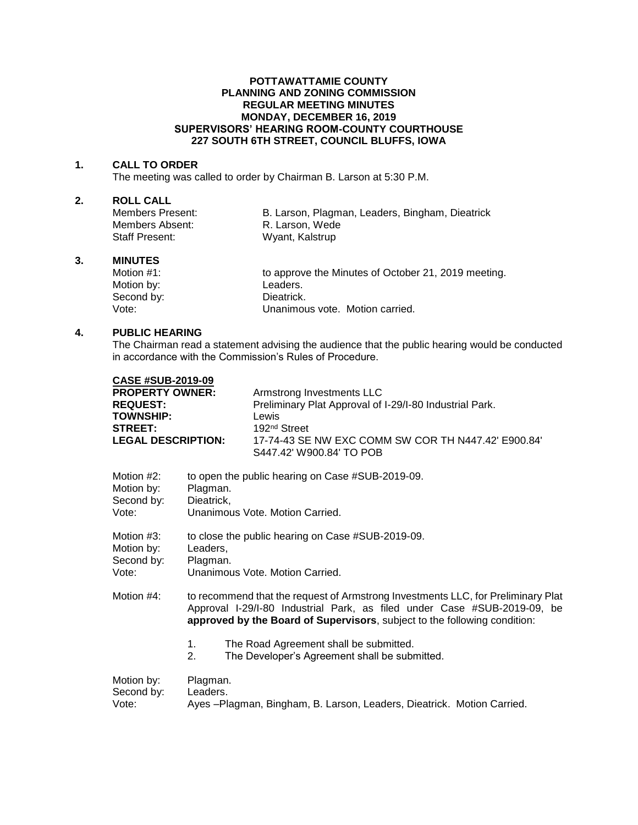#### **POTTAWATTAMIE COUNTY PLANNING AND ZONING COMMISSION REGULAR MEETING MINUTES MONDAY, DECEMBER 16, 2019 SUPERVISORS' HEARING ROOM-COUNTY COURTHOUSE 227 SOUTH 6TH STREET, COUNCIL BLUFFS, IOWA**

#### **1. CALL TO ORDER**

The meeting was called to order by Chairman B. Larson at 5:30 P.M.

## **2. ROLL CALL**

Members Absent: R. Larson, Wede Staff Present: Wyant, Kalstrup

B. Larson, Plagman, Leaders, Bingham, Dieatrick

#### **3. MINUTES**

Motion #1: to approve the Minutes of October 21, 2019 meeting. Motion by: Leaders. Second by: Dieatrick.<br>
Vote: Unanimou Unanimous vote. Motion carried.

### **4. PUBLIC HEARING**

The Chairman read a statement advising the audience that the public hearing would be conducted in accordance with the Commission's Rules of Procedure.

| <b>CASE #SUB-2019-09</b>                           |                                                                                                               |                                                                                                                                                                                                                                           |
|----------------------------------------------------|---------------------------------------------------------------------------------------------------------------|-------------------------------------------------------------------------------------------------------------------------------------------------------------------------------------------------------------------------------------------|
| <b>PROPERTY OWNER:</b>                             |                                                                                                               | Armstrong Investments LLC                                                                                                                                                                                                                 |
| <b>REQUEST:</b>                                    |                                                                                                               | Preliminary Plat Approval of I-29/I-80 Industrial Park.                                                                                                                                                                                   |
| <b>TOWNSHIP:</b>                                   |                                                                                                               | Lewis                                                                                                                                                                                                                                     |
| <b>STREET:</b>                                     |                                                                                                               | 192 <sup>nd</sup> Street                                                                                                                                                                                                                  |
| <b>LEGAL DESCRIPTION:</b>                          |                                                                                                               | 17-74-43 SE NW EXC COMM SW COR TH N447.42' E900.84'<br>S447.42' W900.84' TO POB                                                                                                                                                           |
| Motion #2:<br>Motion by:<br>Second by:<br>Vote:    | to open the public hearing on Case #SUB-2019-09.<br>Plagman.<br>Dieatrick,<br>Unanimous Vote, Motion Carried. |                                                                                                                                                                                                                                           |
| Motion $#3$ :<br>Motion by:<br>Second by:<br>Vote: | to close the public hearing on Case #SUB-2019-09.<br>Leaders,<br>Plagman.<br>Unanimous Vote, Motion Carried.  |                                                                                                                                                                                                                                           |
| Motion $#4$ :                                      |                                                                                                               | to recommend that the request of Armstrong Investments LLC, for Preliminary Plat<br>Approval I-29/I-80 Industrial Park, as filed under Case #SUB-2019-09, be<br>approved by the Board of Supervisors, subject to the following condition: |
|                                                    | $1_{-}$<br>2.                                                                                                 | The Road Agreement shall be submitted.<br>The Developer's Agreement shall be submitted.                                                                                                                                                   |
| Motion by:<br>Second by:<br>Vote:                  | Plagman.<br>Leaders.<br>Ayes -Plagman, Bingham, B. Larson, Leaders, Dieatrick. Motion Carried.                |                                                                                                                                                                                                                                           |